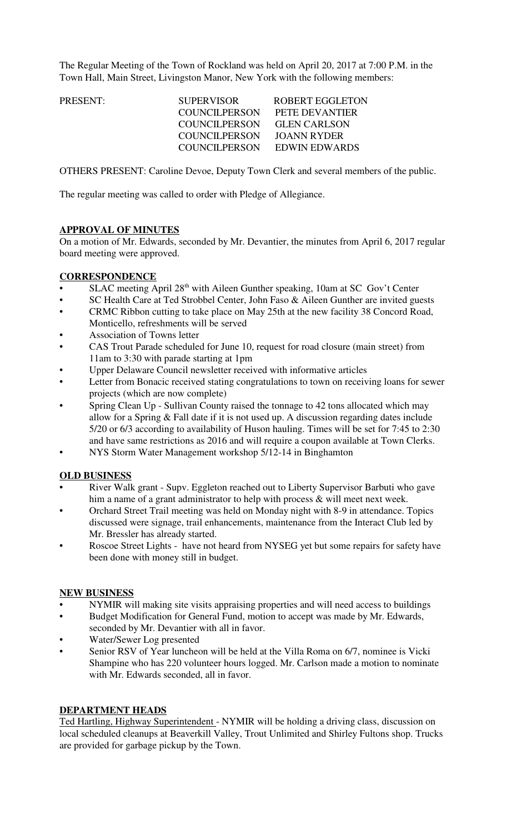The Regular Meeting of the Town of Rockland was held on April 20, 2017 at 7:00 P.M. in the Town Hall, Main Street, Livingston Manor, New York with the following members:

| PRESENT: | <b>SUPERVISOR</b>    | <b>ROBERT EGGLETON</b> |
|----------|----------------------|------------------------|
|          | <b>COUNCILPERSON</b> | PETE DEVANTIER         |
|          | COUNCIL PERSON       | <b>GLEN CARLSON</b>    |
|          | <b>COUNCILPERSON</b> | JOANN RYDER            |
|          | COUNCILPERSON        | EDWIN EDWARDS          |
|          |                      |                        |

OTHERS PRESENT: Caroline Devoe, Deputy Town Clerk and several members of the public.

The regular meeting was called to order with Pledge of Allegiance.

#### **APPROVAL OF MINUTES**

On a motion of Mr. Edwards, seconded by Mr. Devantier, the minutes from April 6, 2017 regular board meeting were approved.

### **CORRESPONDENCE**

- SLAC meeting April  $28<sup>th</sup>$  with Aileen Gunther speaking, 10am at SC Gov't Center
- SC Health Care at Ted Strobbel Center, John Faso & Aileen Gunther are invited guests
- CRMC Ribbon cutting to take place on May 25th at the new facility 38 Concord Road, Monticello, refreshments will be served
- Association of Towns letter
- CAS Trout Parade scheduled for June 10, request for road closure (main street) from 11am to 3:30 with parade starting at 1pm
- Upper Delaware Council newsletter received with informative articles
- Letter from Bonacic received stating congratulations to town on receiving loans for sewer projects (which are now complete)
- Spring Clean Up Sullivan County raised the tonnage to 42 tons allocated which may allow for a Spring & Fall date if it is not used up. A discussion regarding dates include 5/20 or 6/3 according to availability of Huson hauling. Times will be set for 7:45 to 2:30 and have same restrictions as 2016 and will require a coupon available at Town Clerks.
- NYS Storm Water Management workshop 5/12-14 in Binghamton

## **OLD BUSINESS**

- River Walk grant Supv. Eggleton reached out to Liberty Supervisor Barbuti who gave him a name of a grant administrator to help with process & will meet next week.
- Orchard Street Trail meeting was held on Monday night with 8-9 in attendance. Topics discussed were signage, trail enhancements, maintenance from the Interact Club led by Mr. Bressler has already started.
- Roscoe Street Lights have not heard from NYSEG yet but some repairs for safety have been done with money still in budget.

### **NEW BUSINESS**

- NYMIR will making site visits appraising properties and will need access to buildings
- Budget Modification for General Fund, motion to accept was made by Mr. Edwards, seconded by Mr. Devantier with all in favor.
- Water/Sewer Log presented
- Senior RSV of Year luncheon will be held at the Villa Roma on 6/7, nominee is Vicki Shampine who has 220 volunteer hours logged. Mr. Carlson made a motion to nominate with Mr. Edwards seconded, all in favor.

### **DEPARTMENT HEADS**

Ted Hartling, Highway Superintendent - NYMIR will be holding a driving class, discussion on local scheduled cleanups at Beaverkill Valley, Trout Unlimited and Shirley Fultons shop. Trucks are provided for garbage pickup by the Town.